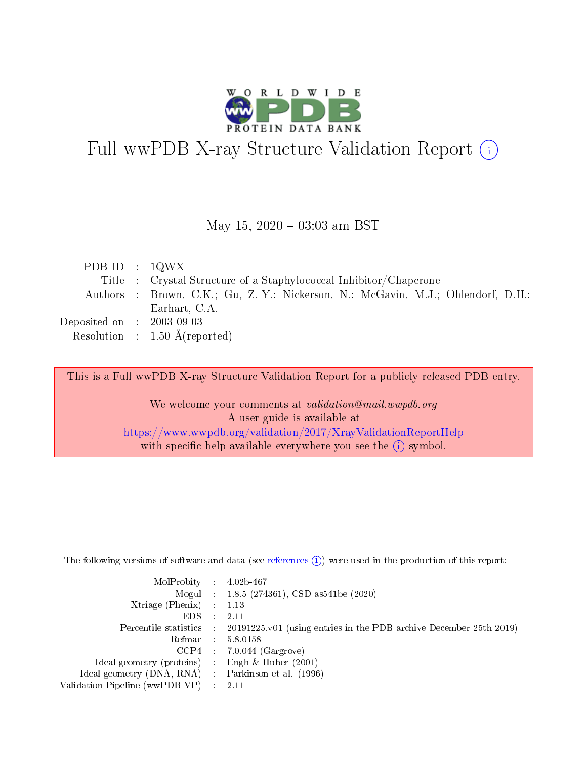

# Full wwPDB X-ray Structure Validation Report (i)

#### May 15,  $2020 - 03:03$  am BST

| PDB ID : $1QWX$             |                                                                                  |
|-----------------------------|----------------------------------------------------------------------------------|
|                             | Title : Crystal Structure of a Staphylococcal Inhibitor/Chaperone                |
|                             | Authors : Brown, C.K.; Gu, Z.-Y.; Nickerson, N.; McGavin, M.J.; Ohlendorf, D.H.; |
|                             | Earhart, C.A.                                                                    |
| Deposited on : $2003-09-03$ |                                                                                  |
|                             | Resolution : $1.50 \text{ Å}$ (reported)                                         |

This is a Full wwPDB X-ray Structure Validation Report for a publicly released PDB entry.

We welcome your comments at validation@mail.wwpdb.org A user guide is available at <https://www.wwpdb.org/validation/2017/XrayValidationReportHelp> with specific help available everywhere you see the  $(i)$  symbol.

The following versions of software and data (see [references](https://www.wwpdb.org/validation/2017/XrayValidationReportHelp#references)  $(1)$ ) were used in the production of this report:

| $MolProbability$ 4.02b-467                          |               |                                                                                            |
|-----------------------------------------------------|---------------|--------------------------------------------------------------------------------------------|
|                                                     |               | Mogul : $1.8.5$ (274361), CSD as 541be (2020)                                              |
| Xtriage (Phenix) $: 1.13$                           |               |                                                                                            |
| EDS.                                                | $\mathcal{L}$ | -2.11                                                                                      |
|                                                     |               | Percentile statistics : 20191225.v01 (using entries in the PDB archive December 25th 2019) |
|                                                     |               | Refmac $5.8.0158$                                                                          |
| CCP4                                                |               | $7.0.044$ (Gargrove)                                                                       |
| Ideal geometry (proteins)                           | $\sim$        | Engh $\&$ Huber (2001)                                                                     |
| Ideal geometry (DNA, RNA) : Parkinson et al. (1996) |               |                                                                                            |
| Validation Pipeline (wwPDB-VP) : 2.11               |               |                                                                                            |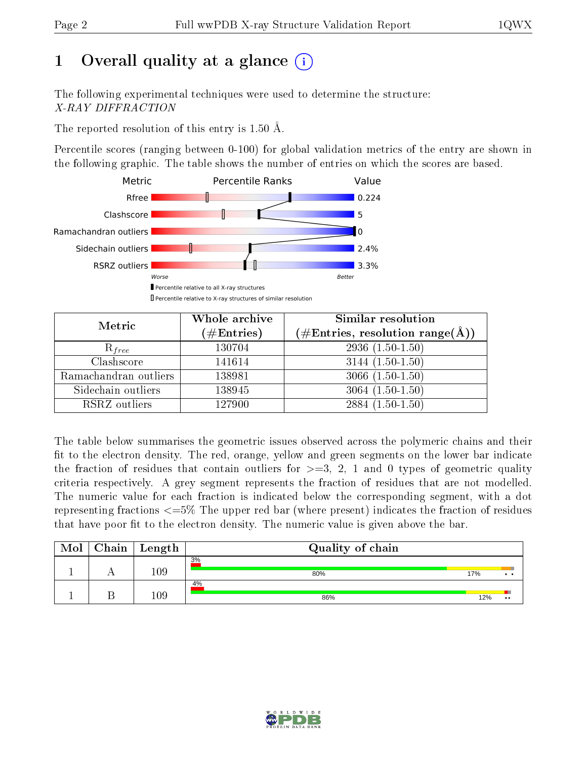## 1 [O](https://www.wwpdb.org/validation/2017/XrayValidationReportHelp#overall_quality)verall quality at a glance  $(i)$

The following experimental techniques were used to determine the structure: X-RAY DIFFRACTION

The reported resolution of this entry is 1.50 Å.

Percentile scores (ranging between 0-100) for global validation metrics of the entry are shown in the following graphic. The table shows the number of entries on which the scores are based.



| Metric                | Whole archive<br>$(\#\text{Entries})$ | Similar resolution<br>$(\#\text{Entries},\,\text{resolution}\,\,\text{range}(\textup{\AA}))$ |
|-----------------------|---------------------------------------|----------------------------------------------------------------------------------------------|
| $R_{free}$            | 130704                                | $2936(1.50-1.50)$                                                                            |
| Clashscore            | 141614                                | $3144(1.50-1.50)$                                                                            |
| Ramachandran outliers | 138981                                | $3066(1.50-1.50)$                                                                            |
| Sidechain outliers    | 138945                                | $3064(1.50-1.50)$                                                                            |
| RSRZ outliers         | 127900                                | $2884(1.50-1.50)$                                                                            |

The table below summarises the geometric issues observed across the polymeric chains and their fit to the electron density. The red, orange, yellow and green segments on the lower bar indicate the fraction of residues that contain outliers for  $>=3, 2, 1$  and 0 types of geometric quality criteria respectively. A grey segment represents the fraction of residues that are not modelled. The numeric value for each fraction is indicated below the corresponding segment, with a dot representing fractions  $\epsilon=5\%$  The upper red bar (where present) indicates the fraction of residues that have poor fit to the electron density. The numeric value is given above the bar.

| Mol | $Chain \  Length$ | Quality of chain |     |                  |
|-----|-------------------|------------------|-----|------------------|
|     | 109               | 3%<br>80%        | 17% |                  |
|     | $109\,$           | 4%<br>86%        | 12% | $\bullet\bullet$ |

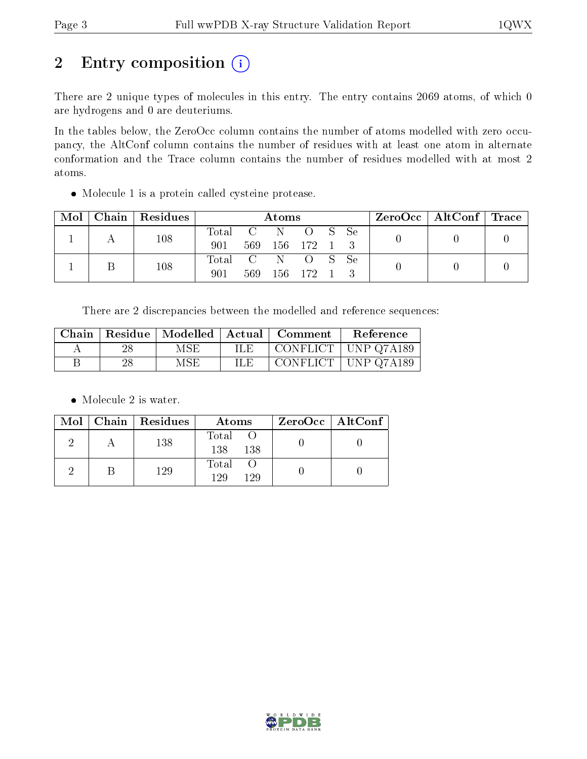## 2 Entry composition (i)

There are 2 unique types of molecules in this entry. The entry contains 2069 atoms, of which 0 are hydrogens and 0 are deuteriums.

In the tables below, the ZeroOcc column contains the number of atoms modelled with zero occupancy, the AltConf column contains the number of residues with at least one atom in alternate conformation and the Trace column contains the number of residues modelled with at most 2 atoms.

Molecule 1 is a protein called cysteine protease.

|  | $Mol$   Chain   Residues | Atoms            |        |  |                       | $ZeroOcc \mid AltConf \mid Trace$ |  |  |
|--|--------------------------|------------------|--------|--|-----------------------|-----------------------------------|--|--|
|  | 108                      | Total C N<br>901 | -569 - |  | O S Se<br>156 172 1 3 |                                   |  |  |
|  | 108                      | Total C N<br>901 | 569    |  | O S Se<br>156 172 1   |                                   |  |  |

There are 2 discrepancies between the modelled and reference sequences:

| Chain |    |     | $\mid$ Residue   Modelled   Actual   Comment | Reference  |
|-------|----|-----|----------------------------------------------|------------|
|       | 28 | MSE | CONFLICT                                     | UNP Q7A189 |
|       | 28 | MSE | CONFLICT                                     | UNP Q7A189 |

• Molecule 2 is water.

|  | $Mol$   Chain   Residues | Atoms                | $ZeroOcc \   \$ AltConf |
|--|--------------------------|----------------------|-------------------------|
|  | 138                      | Total<br>138<br>138  |                         |
|  | 129                      | Total<br>129<br>1 29 |                         |

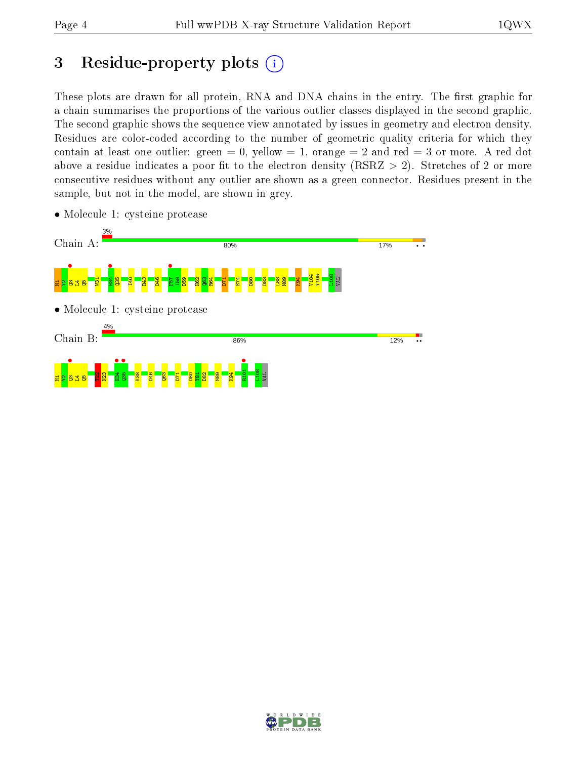## 3 Residue-property plots  $(i)$

These plots are drawn for all protein, RNA and DNA chains in the entry. The first graphic for a chain summarises the proportions of the various outlier classes displayed in the second graphic. The second graphic shows the sequence view annotated by issues in geometry and electron density. Residues are color-coded according to the number of geometric quality criteria for which they contain at least one outlier: green  $= 0$ , yellow  $= 1$ , orange  $= 2$  and red  $= 3$  or more. A red dot above a residue indicates a poor fit to the electron density (RSRZ  $> 2$ ). Stretches of 2 or more consecutive residues without any outlier are shown as a green connector. Residues present in the sample, but not in the model, are shown in grey.



• Molecule 1: cysteine protease

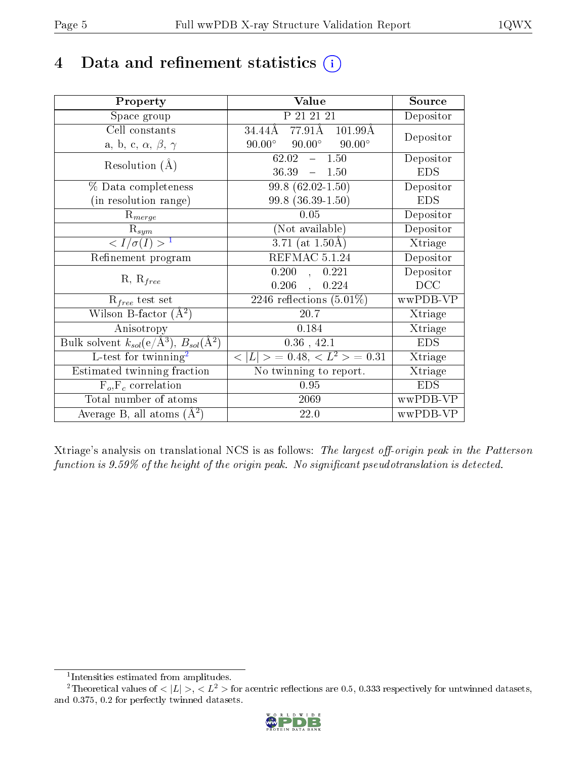## 4 Data and refinement statistics  $(i)$

| Property                                                             | Value                                             | Source                       |
|----------------------------------------------------------------------|---------------------------------------------------|------------------------------|
| Space group                                                          | P 21 21 21                                        | Depositor                    |
| Cell constants                                                       | 77.91Å 101.99Å<br>34.44Å                          | Depositor                    |
| a, b, c, $\alpha$ , $\beta$ , $\gamma$                               | $90.00^\circ$<br>$90.00^\circ$<br>$90.00^{\circ}$ |                              |
| Resolution $(A)$                                                     | 1.50<br>62.02<br>$\equiv$                         | Depositor                    |
|                                                                      | 36.39<br>$-1.50$                                  | <b>EDS</b>                   |
| % Data completeness                                                  | $99.8(62.02-1.50)$                                | Depositor                    |
| (in resolution range)                                                | $99.8$ $(36.39-1.50)$                             | <b>EDS</b>                   |
| $R_{merge}$                                                          | 0.05                                              | Depositor                    |
| $\mathrm{R}_{sym}$                                                   | (Not available)                                   | Depositor                    |
| $\langle I/\sigma(I) \rangle^{-1}$                                   | $3.71$ (at $1.50\text{\AA})$                      | $\overline{\text{X}}$ triage |
| Refinement program                                                   | REFMAC 5.1.24                                     | Depositor                    |
| $R, R_{free}$                                                        | 0.200<br>0.221<br>$\Delta$                        | Depositor                    |
|                                                                      | $0.206$ ,<br>0.224                                | DCC                          |
| $R_{free}$ test set                                                  | $\overline{2246}$ reflections $(5.01\%)$          | wwPDB-VP                     |
| Wilson B-factor $(A^2)$                                              | 20.7                                              | Xtriage                      |
| Anisotropy                                                           | 0.184                                             | Xtriage                      |
| Bulk solvent $k_{sol}(e/\mathring{A}^3)$ , $B_{sol}(\mathring{A}^2)$ | $0.36$ , 42.1                                     | <b>EDS</b>                   |
| $L$ -test for twinning <sup>2</sup>                                  | $< L >$ = 0.48, $< L2 >$ = 0.31                   | Xtriage                      |
| Estimated twinning fraction                                          | No twinning to report.                            | Xtriage                      |
| $F_o, F_c$ correlation                                               | 0.95                                              | <b>EDS</b>                   |
| Total number of atoms                                                | 2069                                              | wwPDB-VP                     |
| Average B, all atoms $(A^2)$                                         | 22.0                                              | wwPDB-VP                     |

Xtriage's analysis on translational NCS is as follows: The largest off-origin peak in the Patterson function is  $9.59\%$  of the height of the origin peak. No significant pseudotranslation is detected.

<sup>&</sup>lt;sup>2</sup>Theoretical values of  $\langle |L| \rangle$ ,  $\langle L^2 \rangle$  for acentric reflections are 0.5, 0.333 respectively for untwinned datasets, and 0.375, 0.2 for perfectly twinned datasets.



<span id="page-4-1"></span><span id="page-4-0"></span><sup>1</sup> Intensities estimated from amplitudes.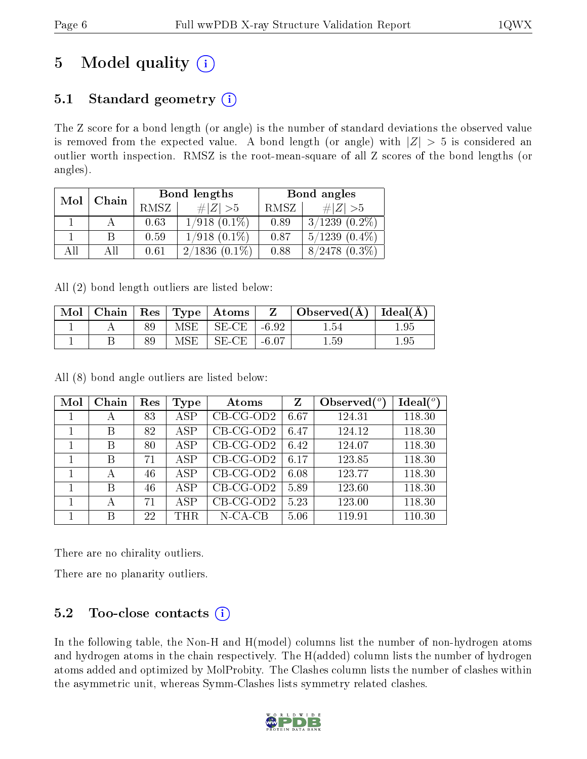## 5 Model quality  $(i)$

### 5.1 Standard geometry  $(i)$

The Z score for a bond length (or angle) is the number of standard deviations the observed value is removed from the expected value. A bond length (or angle) with  $|Z| > 5$  is considered an outlier worth inspection. RMSZ is the root-mean-square of all Z scores of the bond lengths (or angles).

| Mol | Chain |      | Bond lengths        | Bond angles |                    |  |
|-----|-------|------|---------------------|-------------|--------------------|--|
|     |       | RMSZ | $\# Z  > 5$         | RMSZ        | # $ Z  > 5$        |  |
|     |       | 0.63 | $1/918$ $(0.1\%)$   | 0.89        | $3/1239$ $(0.2\%)$ |  |
|     |       | 0.59 | $1/918$ $(0.1\%)$   | 0.87        | $5/1239$ $(0.4\%)$ |  |
| AĦ  |       | 0.61 | 2/1836<br>$(0.1\%)$ | 0.88        | $8/2478$ $(0.3\%)$ |  |

All (2) bond length outliers are listed below:

| Mol |  |     | Chain   $\text{Res}$   $\text{Type}$   $\text{Atoms}$ |         | Observed( $\AA$ )   Ideal( $\AA$ ) |       |
|-----|--|-----|-------------------------------------------------------|---------|------------------------------------|-------|
|     |  | MSE | SE-CE                                                 | $-6.92$ | -54                                | . .95 |
|     |  | MSE | SE-CE                                                 | $-6.07$ | . .59                              | 1.95  |

All (8) bond angle outliers are listed below:

| Mol | Chain | Res | Type       | Atoms        | Z    | Observed $(°)$ | $\text{Ideal}({}^o)$ |
|-----|-------|-----|------------|--------------|------|----------------|----------------------|
|     | А     | 83  | <b>ASP</b> | CB-CG-OD2    | 6.67 | 124.31         | 118.30               |
|     | В     | 82  | <b>ASP</b> | $CB-CG-OD2$  | 6.47 | 124.12         | 118.30               |
|     | В     | 80  | <b>ASP</b> | $CB$ -CG-OD2 | 6.42 | 124.07         | 118.30               |
|     | В     | 71  | <b>ASP</b> | $CB-CG-OD2$  | 6.17 | 123.85         | 118.30               |
|     | А     | 46  | ASP        | $CB$ -CG-OD2 | 6.08 | 123.77         | 118.30               |
| 1   | B     | 46  | <b>ASP</b> | $CB-CG-OD2$  | 5.89 | 123.60         | 118.30               |
|     | А     | 71  | ASP        | $CB$ -CG-OD2 | 5.23 | 123.00         | 118.30               |
|     | B     | 22  | <b>THR</b> | $N$ -CA-CB   | 5.06 | 119.91         | 110.30               |

There are no chirality outliers.

There are no planarity outliers.

### 5.2 Too-close contacts  $(i)$

In the following table, the Non-H and H(model) columns list the number of non-hydrogen atoms and hydrogen atoms in the chain respectively. The H(added) column lists the number of hydrogen atoms added and optimized by MolProbity. The Clashes column lists the number of clashes within the asymmetric unit, whereas Symm-Clashes lists symmetry related clashes.

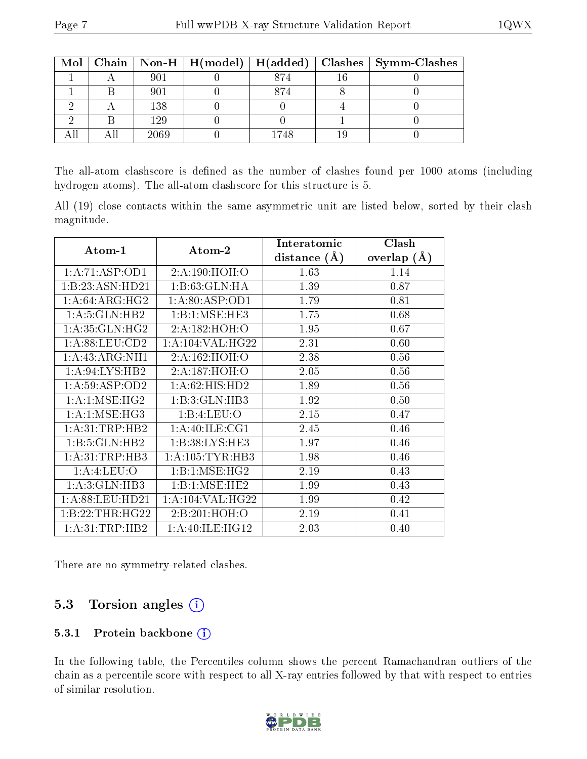|  |      |      | Mol   Chain   Non-H   H(model)   H(added)   Clashes   Symm-Clashes |
|--|------|------|--------------------------------------------------------------------|
|  | 901  | 874  |                                                                    |
|  | 901  | 874  |                                                                    |
|  | 138  |      |                                                                    |
|  | 129  |      |                                                                    |
|  | 2069 | 1748 |                                                                    |

The all-atom clashscore is defined as the number of clashes found per 1000 atoms (including hydrogen atoms). The all-atom clashscore for this structure is 5.

All (19) close contacts within the same asymmetric unit are listed below, sorted by their clash magnitude.

|                   |                      | Interatomic    | Clash         |  |
|-------------------|----------------------|----------------|---------------|--|
| Atom-1            | Atom-2               | distance $(A)$ | overlap $(A)$ |  |
| 1:A:71:ASP:OD1    | 2:A:190:HOH:O        | 1.63           | 1.14          |  |
| 1:B:23:ASN:HD21   | 1:B:63:GLN:HA        | 1.39           | 0.87          |  |
| 1: A:64: ARG:HG2  | 1: A:80: ASP:OD1     | 1.79           | 0.81          |  |
| 1:A:5:GLN:HB2     | 1:B:1:MSE:HE3        | 1.75           | 0.68          |  |
| 1: A:35: GLN: HG2 | 2:A:182:HOH:O        | 1.95           | 0.67          |  |
| 1: A:88:LEU:CD2   | 1: A: 104: VAL: HG22 | 2.31           | 0.60          |  |
| 1:A:43:ARG:NH1    | 2:A:162:HOH:O        | 2.38           | 0.56          |  |
| 1: A:94: LYS: HB2 | 2:A:187:HOH:O        | 2.05           | 0.56          |  |
| 1: A:59: ASP:OD2  | 1:A:62:HIS:HD2       | 1.89           | 0.56          |  |
| 1: A:1: MSE:HG2   | 1:B:3:GLN:HB3        | 1.92           | 0.50          |  |
| 1: A:1: MSE:HG3   | 1:B:4:LEU:O          | 2.15           | 0.47          |  |
| 1: A:31:TRP:HB2   | 1: A:40: ILE: CG1    | 2.45           | 0.46          |  |
| 1:B:5:GLN:HB2     | 1:B:38:LYS:HE3       | 1.97           | 0.46          |  |
| 1: A:31:TRP:HB3   | 1: A: 105: TYR: HB3  | 1.98           | 0.46          |  |
| 1: A:4: LEU:O     | 1:B:1:MSE:HG2        | 2.19           | 0.43          |  |
| 1:A:3:GLN:HB3     | 1:B:1:MSE:HE2        | 1.99           | 0.43          |  |
| 1: A:88: LEU:HD21 | 1: A: 104: VAL: HG22 | 1.99           | 0.42          |  |
| 1:B:22:THR:HG22   | 2:B:201:HOH:O        | 2.19           | 0.41          |  |
| 1: A:31:TRP:HB2   | 1: A:40: ILE: HG12   | 2.03           | 0.40          |  |

There are no symmetry-related clashes.

#### 5.3 Torsion angles (i)

#### 5.3.1 Protein backbone (i)

In the following table, the Percentiles column shows the percent Ramachandran outliers of the chain as a percentile score with respect to all X-ray entries followed by that with respect to entries of similar resolution.

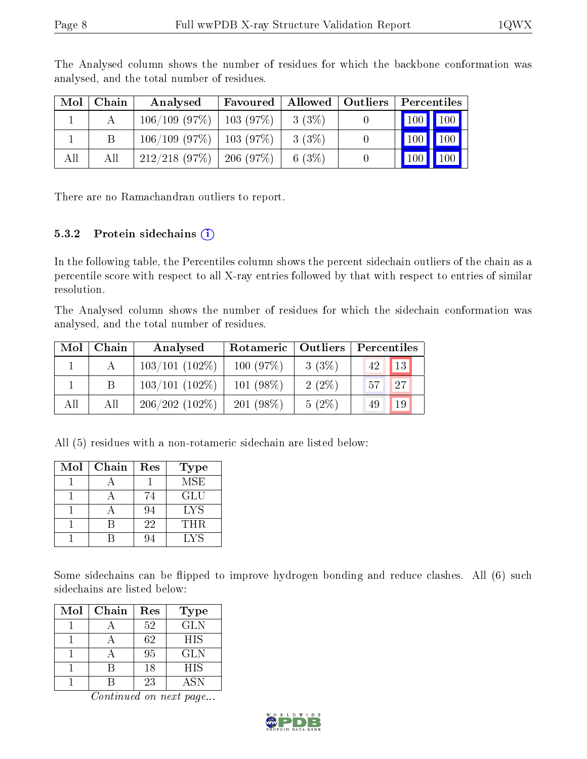| Mol | Chain | Analysed                      | <b>Favoured</b> |           | Allowed   Outliers   Percentiles     |
|-----|-------|-------------------------------|-----------------|-----------|--------------------------------------|
|     |       | $106/109$ (97\%)   103 (97\%) |                 | 3(3%)     | 100 100                              |
|     |       | $106/109$ (97\%)   103 (97\%) |                 | $3(3\%)$  | $\boxed{100}$<br>$\vert$ 100 $\vert$ |
| All | All   | $212/218$ (97\%)   206 (97\%) |                 | 6 $(3\%)$ | $\sqrt{100}$<br>$\vert$ 100 $\vert$  |

The Analysed column shows the number of residues for which the backbone conformation was analysed, and the total number of residues.

There are no Ramachandran outliers to report.

#### 5.3.2 Protein sidechains  $(i)$

In the following table, the Percentiles column shows the percent sidechain outliers of the chain as a percentile score with respect to all X-ray entries followed by that with respect to entries of similar resolution.

The Analysed column shows the number of residues for which the sidechain conformation was analysed, and the total number of residues.

| Mol | Chain | Analysed         | Rotameric   Outliers |          | Percentiles |  |
|-----|-------|------------------|----------------------|----------|-------------|--|
|     |       | $103/101(102\%)$ | 100(97%)             | 3(3%)    | 13 <br>42   |  |
|     | B     | $103/101(102\%)$ | $101 (98\%)$         | $2(2\%)$ | 27<br>57    |  |
| All | All   | $206/202(102\%)$ | $201(98\%)$          | $5(2\%)$ | 19<br>49    |  |

All (5) residues with a non-rotameric sidechain are listed below:

| Mol | Chain | Res | <b>Type</b> |
|-----|-------|-----|-------------|
|     |       |     | MSE         |
|     |       | 74  | GLU         |
|     |       | 94  | <b>LYS</b>  |
|     |       | 22  | THR.        |
|     |       |     | LYS         |

Some sidechains can be flipped to improve hydrogen bonding and reduce clashes. All (6) such sidechains are listed below:

| Mol | Chain | Res | <b>Type</b> |
|-----|-------|-----|-------------|
|     |       | 52  | <b>GLN</b>  |
|     |       | 62  | HIS         |
|     |       | 95  | GLN         |
|     |       | 18  | <b>HIS</b>  |
|     |       | 23  | ASN         |

Continued on next page...

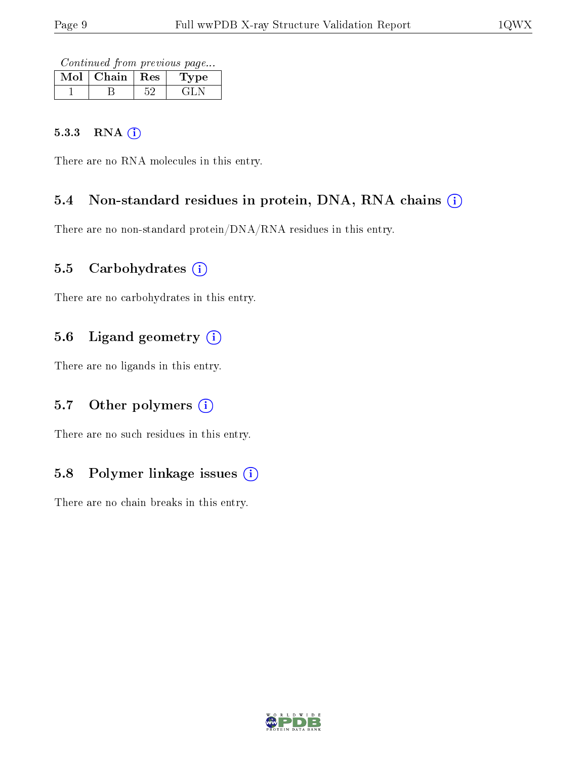Continued from previous page...

| Mol | Chain | $\perp$ Res $\perp$ | рe<br>$\perp$ y |
|-----|-------|---------------------|-----------------|
|     |       |                     |                 |

#### 5.3.3 RNA [O](https://www.wwpdb.org/validation/2017/XrayValidationReportHelp#rna)i

There are no RNA molecules in this entry.

#### 5.4 Non-standard residues in protein, DNA, RNA chains (i)

There are no non-standard protein/DNA/RNA residues in this entry.

#### 5.5 Carbohydrates  $(i)$

There are no carbohydrates in this entry.

#### 5.6 Ligand geometry (i)

There are no ligands in this entry.

#### 5.7 [O](https://www.wwpdb.org/validation/2017/XrayValidationReportHelp#nonstandard_residues_and_ligands)ther polymers  $(i)$

There are no such residues in this entry.

#### 5.8 Polymer linkage issues  $(i)$

There are no chain breaks in this entry.

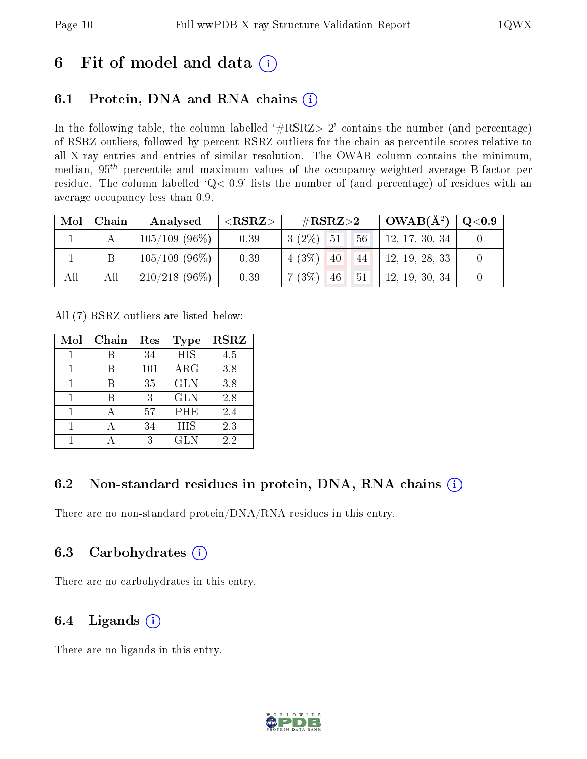### 6 Fit of model and data  $(i)$

### 6.1 Protein, DNA and RNA chains  $(i)$

In the following table, the column labelled  $#RSRZ> 2'$  contains the number (and percentage) of RSRZ outliers, followed by percent RSRZ outliers for the chain as percentile scores relative to all X-ray entries and entries of similar resolution. The OWAB column contains the minimum, median,  $95<sup>th</sup>$  percentile and maximum values of the occupancy-weighted average B-factor per residue. The column labelled ' $Q< 0.9$ ' lists the number of (and percentage) of residues with an average occupancy less than 0.9.

| Mol | Chain | Analysed         | ${ <\hspace{-1.5pt}{\mathrm{RSRZ}} \hspace{-1.5pt}>}$ | # $RSRZ>2$        | $OWAB(A^2)$    | $\rm Q\textcolor{black}{<}0.9$ |
|-----|-------|------------------|-------------------------------------------------------|-------------------|----------------|--------------------------------|
|     |       | $105/109$ (96\%) | 0.39                                                  | 56<br>$3(2\%)$ 51 | 12, 17, 30, 34 |                                |
|     |       | $105/109$ (96\%) | 0.39                                                  | $4(3\%)$ 40<br>44 | 12, 19, 28, 33 |                                |
| All | All   | $210/218$ (96\%) | 0.39                                                  | 7(3%)<br>51<br>46 | 12, 19, 30, 34 |                                |

All (7) RSRZ outliers are listed below:

| Mol | Chain | Res | Type       | <b>RSRZ</b> |
|-----|-------|-----|------------|-------------|
|     |       | 34  | <b>HIS</b> | 4.5         |
|     |       | 101 | ARG        | 3.8         |
|     |       | 35  | <b>GLN</b> | 3.8         |
|     |       | 3   | <b>GLN</b> | 2.8         |
|     |       | 57  | PHE        | 2.4         |
|     |       | 34  | HIS        | 2.3         |
|     |       | 3   | <b>GLN</b> | 2.2         |

#### 6.2 Non-standard residues in protein, DNA, RNA chains  $(i)$

There are no non-standard protein/DNA/RNA residues in this entry.

#### 6.3 Carbohydrates  $(i)$

There are no carbohydrates in this entry.

#### 6.4 Ligands  $(i)$

There are no ligands in this entry.